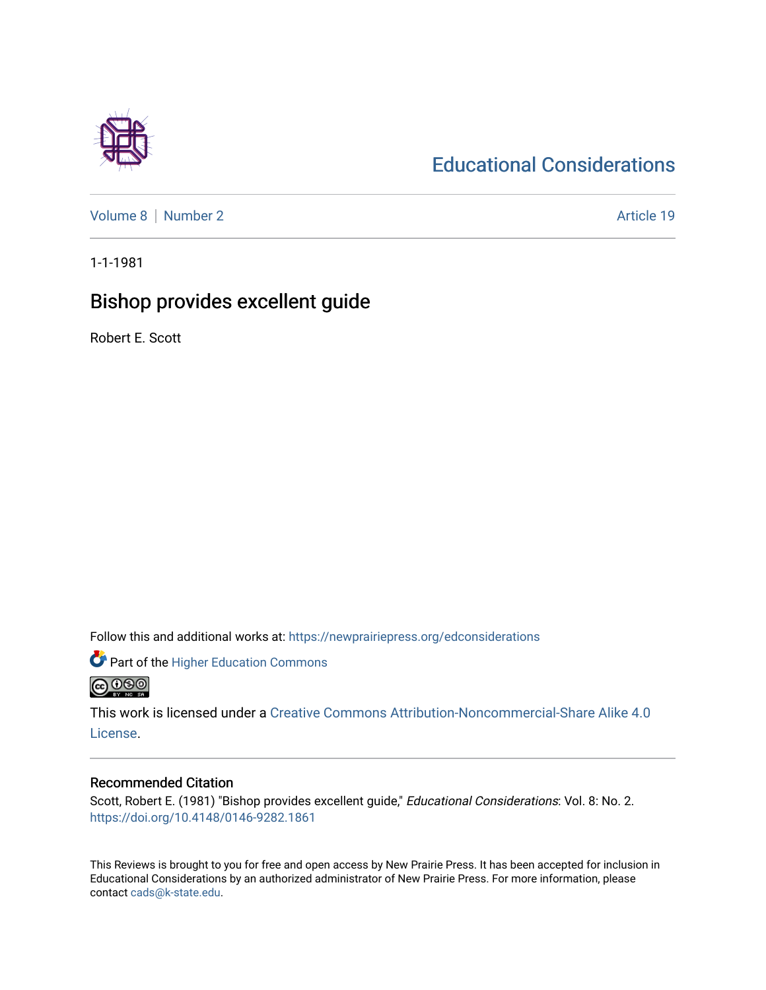## [Educational Considerations](https://newprairiepress.org/edconsiderations)

[Volume 8](https://newprairiepress.org/edconsiderations/vol8) | [Number 2](https://newprairiepress.org/edconsiderations/vol8/iss2) Article 19

1-1-1981

## Bishop provides excellent guide

Robert E. Scott

Follow this and additional works at: [https://newprairiepress.org/edconsiderations](https://newprairiepress.org/edconsiderations?utm_source=newprairiepress.org%2Fedconsiderations%2Fvol8%2Fiss2%2F19&utm_medium=PDF&utm_campaign=PDFCoverPages) 

**Part of the Higher Education Commons @@@** 

This work is licensed under a [Creative Commons Attribution-Noncommercial-Share Alike 4.0](https://creativecommons.org/licenses/by-nc-sa/4.0/)

[License.](https://creativecommons.org/licenses/by-nc-sa/4.0/)

#### Recommended Citation

Scott, Robert E. (1981) "Bishop provides excellent guide," Educational Considerations: Vol. 8: No. 2. <https://doi.org/10.4148/0146-9282.1861>

This Reviews is brought to you for free and open access by New Prairie Press. It has been accepted for inclusion in Educational Considerations by an authorized administrator of New Prairie Press. For more information, please contact [cads@k-state.edu](mailto:cads@k-state.edu).